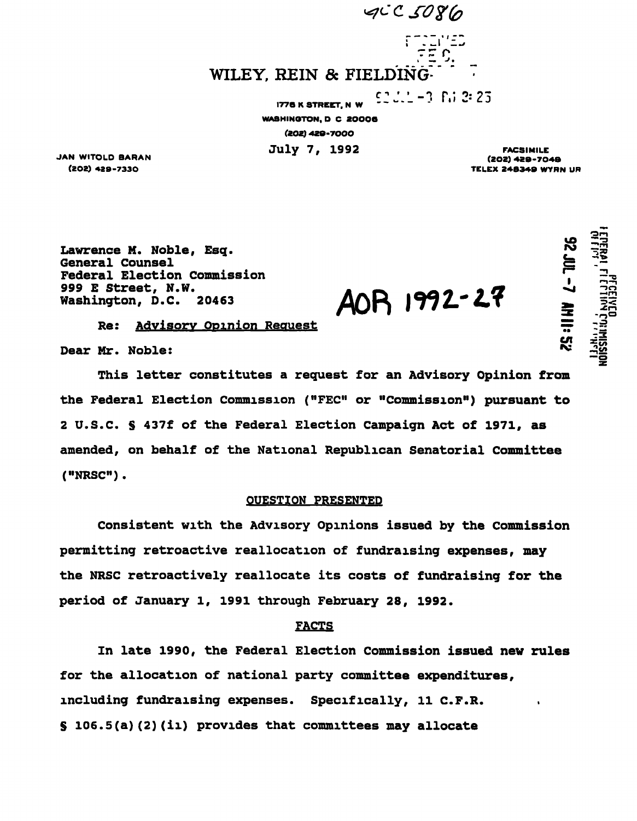$4C5086$ 

FE'n

WILEY, REIN & FIELDING

1778 K STREET. N W WASHINGTON, D C 20006 (802) 480-7000 JUlV 7, 1992  $C_1$   $C_2$  =  $C_1$   $C_3$   $C_4$  $\mathbb{Z}$ ull $\mathbb{Z} = \mathbb{Z}$  the  $\mathbb{Z}$ 

JAN WITOLO BARAN (2O2) 429-733O

Lawrence M. Noble, Esq. General Counsel Federal Election Commission 999 E Street, N.W. Washington, D.C. 20463

AOR 1992-27

Re: Advisory Opinion Request

Dear Mr. Noble: ^

This letter constitutes a request for an Advisory Opinion from the Federal Election Commission ("FEC" or "Commission") pursuant to 2 U.S.C. § 437f of the Federal Election Campaign Act of 1971, as amended, on behalf of the National Republican Senatorial Committee ("NRSC") .

### QUESTION PRESENTED

Consistent with the Advisory Opinions issued by the Commission permitting retroactive reallocation of fundraising expenses, may the NRSC retroactively reallocate its costs of fundraising for the period of January 1, 1991 through February 28, 1992.

#### FACTS

In late 1990, the Federal Election Commission issued new rules for the allocation of national party committee expenditures, including fundraising expenses. Specifically, 11 C.F.R. S 106. 5 (a) (2) (ii) provides that committees may allocate

II ci – š

FACSIMILE (202) 429-7049 TELEX 248348 WYRN UR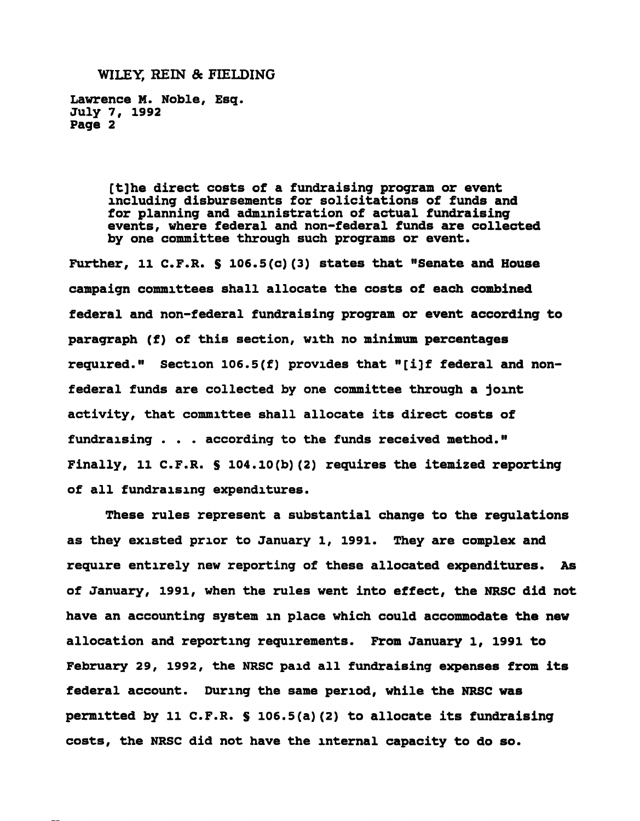Lawrence M. Noble, Esq. July 7, 1992 Page 2

> [t]he direct costs of a fundraising program or event including disbursements for solicitations of funds and for planning and administration of actual fundraising events, where federal and non-federal funds are collected by one committee through such programs or event.

Further, 11 C.F.R. § 106.5(c)(3) states that "Senate and House campaign committees shall allocate the costs of each combined federal and non-federal fundraising program or event according to paragraph (f) of this section, with no minimum percentages required." Section 106.5(f) provides that "[i]f federal and nonfederal funds are collected by one committee through a joint activity, that committee shall allocate its direct costs of fundraising . . . according to the funds received method." Finally, 11 C.F.R. § 104.10(b)(2) requires the itemized reporting of all fundraising expenditures.

These rules represent a substantial change to the regulations as they existed prior to January 1, 1991. They are complex and require entirely new reporting of these allocated expenditures. As of January, 1991, when the rules went into effect, the NRSC did not have an accounting system in place which could accommodate the new allocation and reporting requirements. From January 1, 1991 to February 29, 1992, the NRSC paid all fundraising expenses from its federal account. During the same period, while the NRSC was permitted by 11 C.F.R. § I06.5(a)(2) to allocate its fundraising costs, the NRSC did not have the internal capacity to do so.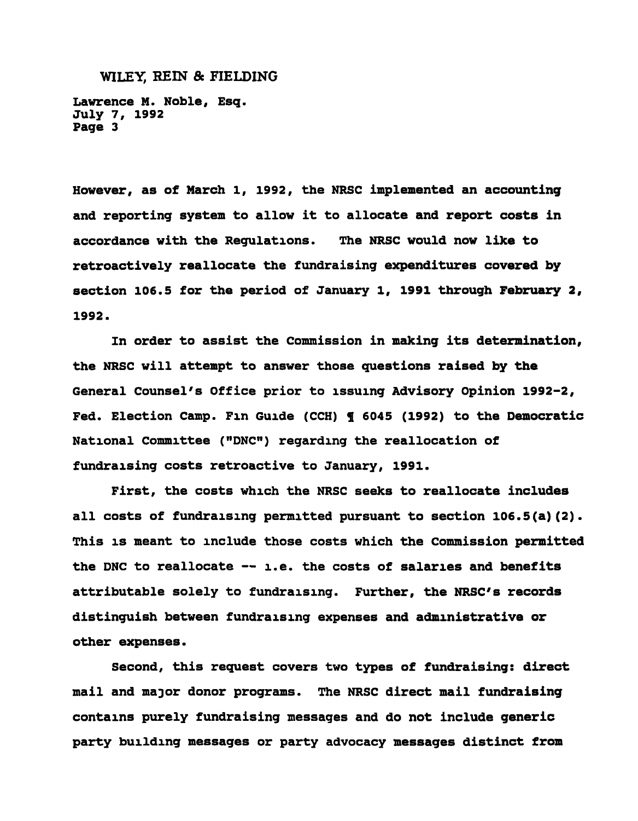Lawrence M. Noble, Esq. July 7, 1992 Page 3

However, as of March 1, 1992, the NRSC implemented an accounting and reporting system to allow it to allocate and report costs in accordance with the Regulations. The NRSC would now like to retroactively reallocate the fundraising expenditures covered by section 106.5 for the period of January 1, 1991 through February 2, 1992.

In order to assist the Commission in making its determination, the NRSC will attempt to answer those questions raised by the General Counsel's Office prior to issuing Advisory Opinion 1992-2, Fed. Election Camp. Fin Guide (CCH) ¶ 6045 (1992) to the Democratic National Committee ("DNC") regarding the reallocation of fundraising costs retroactive to January, 1991.

First, the costs which the NRSC seeks to reallocate includes all costs of fundraising permitted pursuant to section 106.5(a)(2). This is meant to include those costs which the Commission permitted the DNC to reallocate  $-$  i.e. the costs of salaries and benefits attributable solely to fundraising. Further, the NRSC's records distinguish between fundraising expenses and administrative or other expenses.

Second, this request covers two types of fundraising: direct mail and major donor programs. The NRSC direct mail fundraising contains purely fundraising messages and do not include generic party building messages or party advocacy messages distinct from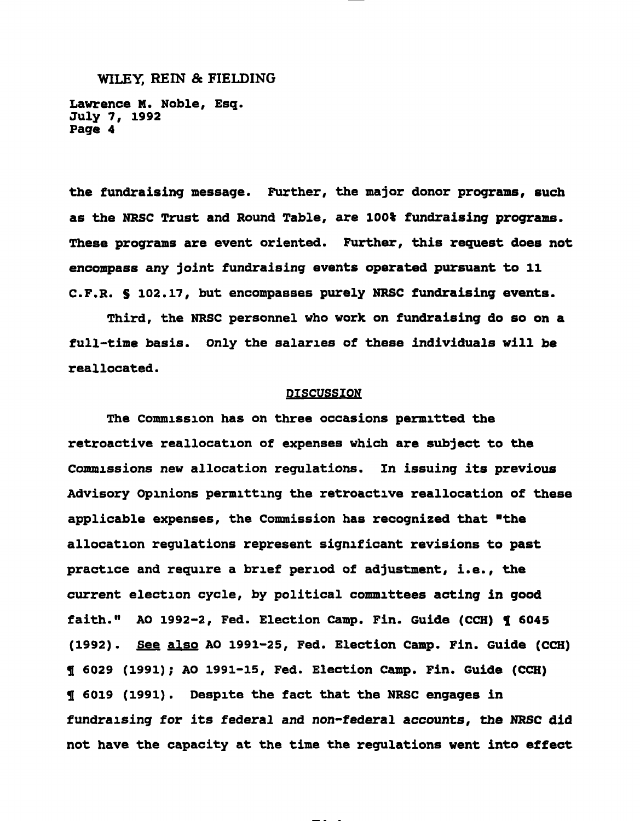Lawrence M. Noble, Esq. July 7, 1992 Page 4

the fundraising message. Further, the major donor programs, such as the NRSC Trust and Round Table, are 100% fundraising programs. These programs are event oriented. Further, this request does not encompass any joint fundraising events operated pursuant to 11 C.F.R. § 102.17, but encompasses purely NRSC fundraising events.

Third, the NRSC personnel who work on fundraising do so on a full-time basis. Only the salaries of these individuals will be reallocated.

### DISCUSSION

The Commission has on three occasions permitted the retroactive reallocation of expenses which are subject to the Commissions new allocation regulations. In issuing its previous Advisory Opinions permitting the retroactive reallocation of these applicable expenses, the Commission has recognized that "the allocation regulations represent significant revisions to past practice and require a brief period of adjustment, i.e., the current election cycle, by political committees acting in good faith." AO 1992-2, Fed. Election Camp. Fin. Guide (CCH) **q** 6045 (1992). see also AO 1991-25, Fed. Election Camp. Fin. Guide (CCH) f 6029 (1991); AO 1991-15, Fed. Election Camp. Fin. Guide (CCH) f 6019 (1991). Despite the fact that the NRSC engages in fundraising for its federal and non-federal accounts, the NRSC did not have the capacity at the time the regulations went into effect